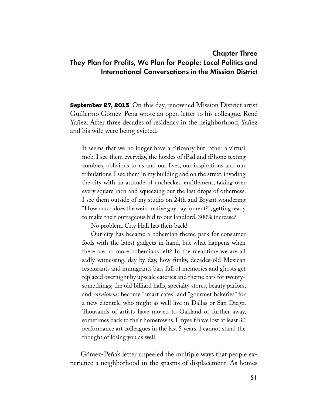## **Chapter Three They Plan for Profits, We Plan for People: Local Politics and International Conversations in the Mission District**

**September 27, 2013**. On this day, renowned Mission District artist Guillermo Gómez-Peña wrote an open letter to his colleague, René Yañez. After three decades of residency in the neighborhood, Yañez and his wife were being evicted.

It seems that we no longer have a citizenry but rather a virtual mob. I see them everyday, the hordes of iPad and iPhone texting zombies, oblivious to us and our lives, our inspirations and our tribulations. I see them in my building and on the street, invading the city with an attitude of unchecked entitlement, taking over every square inch and squeezing out the last drops of otherness. I see them outside of my studio on 24th and Bryant wondering "How much does the weird native guy pay for rent?"; getting ready to make their outrageous bid to our landlord. 300% increase?

No problem. City Hall has their back!

Our city has became a bohemian theme park for consumer fools with the latest gadgets in hand, but what happens when there are no more bohemians left? In the meantime we are all sadly witnessing, day by day, how funky, decades-old Mexican restaurants and immigrants bars full of memories and ghosts get replaced overnight by upscale eateries and theme bars for twentysomethings; the old billiard halls, specialty stores, beauty parlors, and *carnicerias* become "smart cafes" and "gourmet bakeries" for a new clientele who might as well live in Dallas or San Diego. Thousands of artists have moved to Oakland or further away, sometimes back to their hometowns. I myself have lost at least 30 performance art colleagues in the last 5 years. I cannot stand the thought of losing you as well.

Gómez-Peña's letter unpeeled the multiple ways that people experience a neighborhood in the spasms of displacement. As homes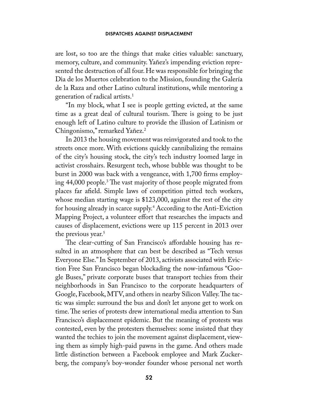## **DISPATCHES AGAINST DISPLACEMENT**

are lost, so too are the things that make cities valuable: sanctuary, memory, culture, and community. Yañez's impending eviction represented the destruction of all four. He was responsible for bringing the Dia de los Muertos celebration to the Mission, founding the Galería de la Raza and other Latino cultural institutions, while mentoring a generation of radical artists.1

"In my block, what I see is people getting evicted, at the same time as a great deal of cultural tourism. There is going to be just enough left of Latino culture to provide the illusion of Latinism or Chingonismo," remarked Yañez.<sup>2</sup>

In 2013 the housing movement was reinvigorated and took to the streets once more. With evictions quickly cannibalizing the remains of the city's housing stock, the city's tech industry loomed large in activist crosshairs. Resurgent tech, whose bubble was thought to be burst in 2000 was back with a vengeance, with  $1,700$  firms employing  $44,000$  people.<sup>3</sup> The vast majority of those people migrated from places far a field. Simple laws of competition pitted tech workers, whose median starting wage is \$123,000, against the rest of the city for housing already in scarce supply.4 According to the Anti-Eviction Mapping Project, a volunteer effort that researches the impacts and causes of displacement, evictions were up 115 percent in 2013 over the previous year.<sup>5</sup>

The clear-cutting of San Francisco's affordable housing has resulted in an atmosphere that can best be described as "Tech versus Everyone Else." In September of 2013, activists associated with Eviction Free San Francisco began blockading the now-infamous "Google Buses," private corporate buses that transport techies from their neighborhoods in San Francisco to the corporate headquarters of Google, Facebook, MTV, and others in nearby Silicon Valley. The tactic was simple: surround the bus and don't let anyone get to work on time. The series of protests drew international media attention to San Francisco's displacement epidemic. But the meaning of protests was contested, even by the protesters themselves: some insisted that they wanted the techies to join the movement against displacement, viewing them as simply high-paid pawns in the game. And others made little distinction between a Facebook employee and Mark Zuckerberg, the company's boy-wonder founder whose personal net worth